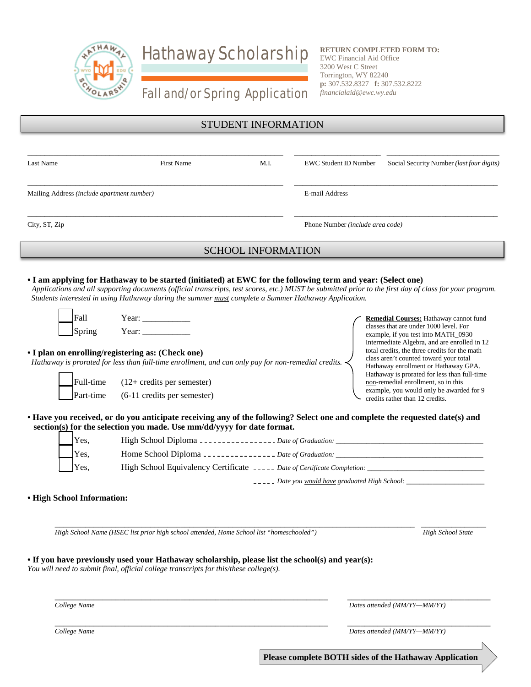Hathaway Scholarship



EWC Financial Aid Office 3200 West C Street Torrington, WY 82240 **p:** 307.532.8327 **f:** 307.532.8222 *financialaid@ewc.wy.edu* Fall and/or Spring Application

**RETURN COMPLETED FORM TO:**

# STUDENT INFORMATION

| Last Name                                  | <b>First Name</b>                                                                                                                                                                                                                                 | M.I.                      | <b>EWC Student ID Number</b>                                                                                                                                                                                             | Social Security Number (last four digits)                                                                                                                                                                |  |  |
|--------------------------------------------|---------------------------------------------------------------------------------------------------------------------------------------------------------------------------------------------------------------------------------------------------|---------------------------|--------------------------------------------------------------------------------------------------------------------------------------------------------------------------------------------------------------------------|----------------------------------------------------------------------------------------------------------------------------------------------------------------------------------------------------------|--|--|
| Mailing Address (include apartment number) |                                                                                                                                                                                                                                                   |                           | E-mail Address                                                                                                                                                                                                           |                                                                                                                                                                                                          |  |  |
| City, ST, Zip                              |                                                                                                                                                                                                                                                   |                           | Phone Number (include area code)                                                                                                                                                                                         |                                                                                                                                                                                                          |  |  |
|                                            |                                                                                                                                                                                                                                                   | <b>SCHOOL INFORMATION</b> |                                                                                                                                                                                                                          |                                                                                                                                                                                                          |  |  |
| Fall                                       | • I am applying for Hathaway to be started (initiated) at EWC for the following term and year: (Select one)<br>Students interested in using Hathaway during the summer must complete a Summer Hathaway Application.<br>Year: $\frac{1}{\sqrt{2}}$ |                           |                                                                                                                                                                                                                          | Applications and all supporting documents (official transcripts, test scores, etc.) MUST be submitted prior to the first day of class for your program.<br><b>Remedial Courses:</b> Hathaway cannot fund |  |  |
| Spring                                     | Year: $\frac{1}{\sqrt{2\pi}}$<br>• I plan on enrolling/registering as: (Check one)                                                                                                                                                                |                           | classes that are under 1000 level. For<br>example, if you test into MATH_0930<br>Intermediate Algebra, and are enrolled in 12<br>total credits, the three credits for the math<br>class aren't counted toward your total |                                                                                                                                                                                                          |  |  |
| Full-time<br>Part-time                     | Hathaway is prorated for less than full-time enrollment, and can only pay for non-remedial credits. -<br>$(12 + \text{credits per semester})$<br>(6-11 credits per semester)                                                                      |                           | Hathaway enrollment or Hathaway GPA.<br>Hathaway is prorated for less than full-time<br>non-remedial enrollment, so in this<br>example, you would only be awarded for 9<br>credits rather than 12 credits.               |                                                                                                                                                                                                          |  |  |
|                                            | • Have you received, or do you anticipate receiving any of the following? Select one and complete the requested date(s) and<br>section(s) for the selection you made. Use mm/dd/yyyy for date format.                                             |                           |                                                                                                                                                                                                                          |                                                                                                                                                                                                          |  |  |
| Yes.                                       |                                                                                                                                                                                                                                                   |                           |                                                                                                                                                                                                                          |                                                                                                                                                                                                          |  |  |
| Yes,                                       |                                                                                                                                                                                                                                                   |                           |                                                                                                                                                                                                                          |                                                                                                                                                                                                          |  |  |
| Yes,                                       |                                                                                                                                                                                                                                                   |                           |                                                                                                                                                                                                                          |                                                                                                                                                                                                          |  |  |
|                                            | _____ Date you would have graduated High School: ________________                                                                                                                                                                                 |                           |                                                                                                                                                                                                                          |                                                                                                                                                                                                          |  |  |
| • High School Information:                 |                                                                                                                                                                                                                                                   |                           |                                                                                                                                                                                                                          |                                                                                                                                                                                                          |  |  |
|                                            | High School Name (HSEC list prior high school attended, Home School list "homeschooled")                                                                                                                                                          |                           |                                                                                                                                                                                                                          | <b>High School State</b>                                                                                                                                                                                 |  |  |
|                                            | • If you have previously used your Hathaway scholarship, please list the school(s) and year(s):<br>You will need to submit final, official college transcripts for this/these college(s).                                                         |                           |                                                                                                                                                                                                                          |                                                                                                                                                                                                          |  |  |
| College Name                               |                                                                                                                                                                                                                                                   |                           |                                                                                                                                                                                                                          | Dates attended (MM/YY-MM/YY)                                                                                                                                                                             |  |  |
| College Name                               |                                                                                                                                                                                                                                                   |                           | Dates attended (MM/YY-MM/YY)                                                                                                                                                                                             |                                                                                                                                                                                                          |  |  |
|                                            |                                                                                                                                                                                                                                                   |                           |                                                                                                                                                                                                                          | Please complete BOTH sides of the Hathaway Application                                                                                                                                                   |  |  |